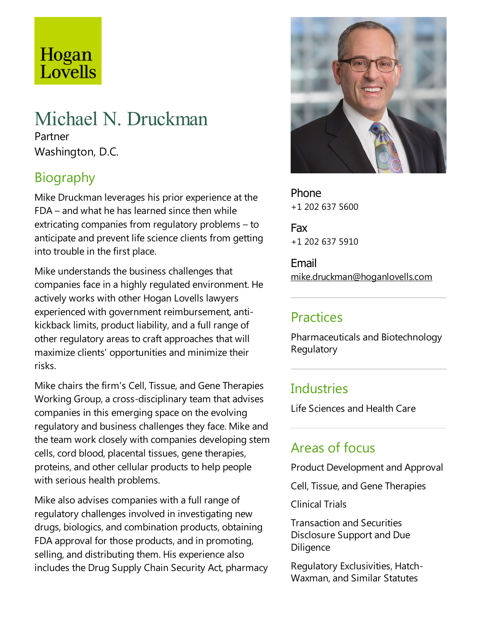# Hogan Lovells

# Michael N. Druckman

Partner Washington, D.C.

## Biography

Mike Druckman leverages his prior experience at the  $FDA$  – and what he has learned since then while extricating companies from regulatory problems – to anticipate and prevent life science clients from getting into trouble in the first place.

Mike understands the business challenges that companies face in a highly regulated environment. He actively works with other Hogan Lovells lawyers experienced with government reimbursement, antikickback limits, product liability, and a full range of other regulatory areas to craftapproaches that will maximize clients' opportunities and minimize their risks.

Mike chairs the firm's Cell, Tissue, and Gene Therapies Working Group, a cross-disciplinary team that advises companies in this emerging space on the evolving regulatory and business challenges they face. Mike and the team work closely with companies developing stem cells, cord blood, placental tissues, gene therapies, proteins, and other cellular products to help people with serious health problems.

Mike also advises companies with a full range of regulatory challenges involved in investigating new drugs, biologics,and combination products, obtaining FDA approval for those products, and in promoting, selling, and distributing them. His experience also includes the Drug Supply Chain Security Act, pharmacy



Phone +1 202 637 5600

Fax +1 202 637 5910

Email mike.druckman@hoganlovells.com

#### **Practices**

Pharmaceuticals and Biotechnology **Regulatory** 

#### **Industries**

Life Sciences and Health Care

# Areas of focus

Product Development and Approval

Cell, Tissue, and Gene Therapies

ClinicalTrials

Transaction and Securities Disclosure Support and Due **Diligence** 

Regulatory Exclusivities, Hatch-Waxman, and Similar Statutes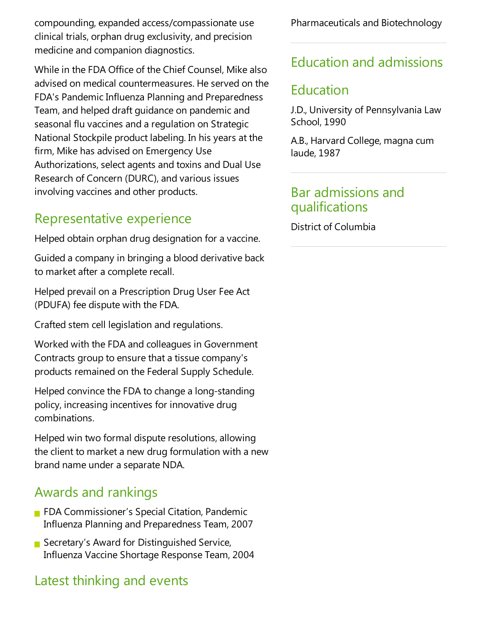compounding,expanded access/compassionate use clinical trials, orphan drug exclusivity, and precision medicine and companion diagnostics.

While in the FDA Office of the Chief Counsel, Mike also advised on medical countermeasures. Heserved on the FDA's Pandemic Influenza Planning and Preparedness Team, and helped draft guidance on pandemic and seasonal flu vaccines and a regulation on Strategic National Stockpile product labeling. In his years at the firm, Mike has advised on Emergency Use Authorizations, select agents and toxins and Dual Use Research of Concern (DURC), and various issues involving vaccines and other products.

#### Representative experience

Helped obtain orphan drug designation for a vaccine.

Guided acompany in bringing a blood derivative back to market after a complete recall.

Helped prevail on a Prescription Drug User Fee Act (PDUFA) fee dispute with the FDA.

Crafted stem cell legislation and regulations.

Worked with theFDA and colleagues in Government Contracts group to ensure that a tissue company's products remained on the Federal Supply Schedule.

Helped convince the FDA to change a long-standing policy, increasing incentives for innovative drug combinations.

Helped win two formal dispute resolutions, allowing the client to market a new drug formulation with a new brand name under aseparate NDA.

### Awards and rankings

- **FIDA Commissioner's Special Citation, Pandemic** Influenza Planning and Preparedness Team, 2007
- Secretary's Award for Distinguished Service, Influenza Vaccine Shortage Response Team, 2004

# Latest thinking and events

Pharmaceuticals and Biotechnology

## Education and admissions

## Education

J.D., University of Pennsylvania Law School, 1990

A.B., Harvard College, magna cum laude, 1987

#### Bar admissions and qualifications

District of Columbia